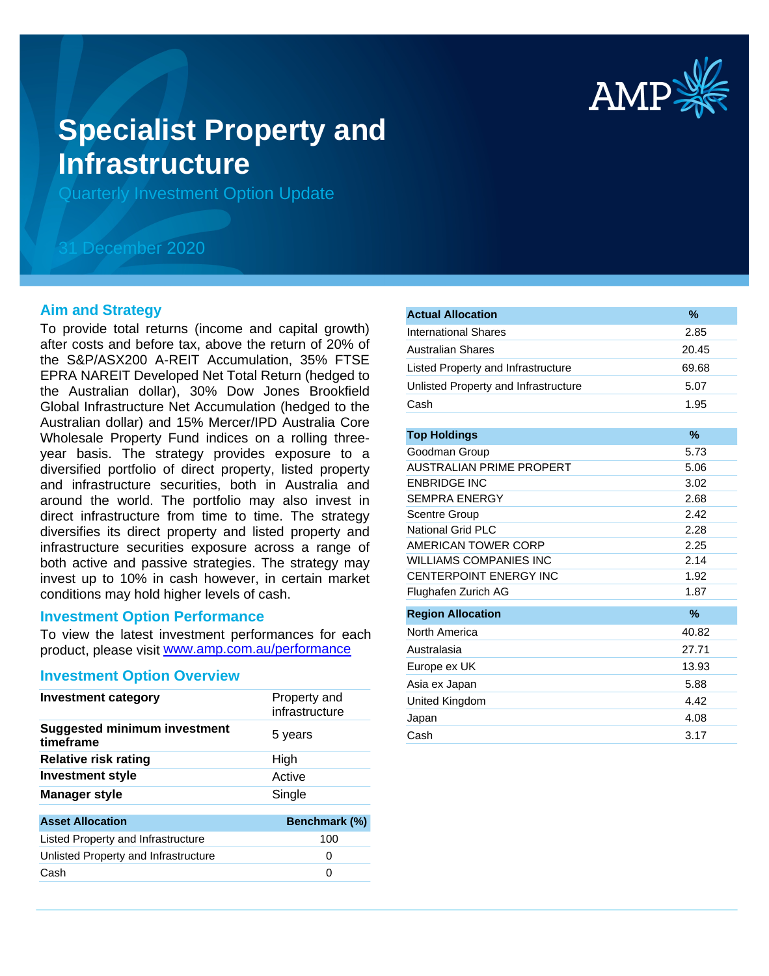

# **Specialist Property and Infrastructure**

Quarterly Investment Option Update

## 31 December 2020

#### **Aim and Strategy**

To provide total returns (income and capital growth) after costs and before tax, above the return of 20% of the S&P/ASX200 A-REIT Accumulation, 35% FTSE EPRA NAREIT Developed Net Total Return (hedged to the Australian dollar), 30% Dow Jones Brookfield Global Infrastructure Net Accumulation (hedged to the Australian dollar) and 15% Mercer/IPD Australia Core Wholesale Property Fund indices on a rolling threeyear basis. The strategy provides exposure to a diversified portfolio of direct property, listed property and infrastructure securities, both in Australia and around the world. The portfolio may also invest in direct infrastructure from time to time. The strategy diversifies its direct property and listed property and infrastructure securities exposure across a range of both active and passive strategies. The strategy may invest up to 10% in cash however, in certain market conditions may hold higher levels of cash.

#### **Investment Option Performance**

product, please visit www.amp.com.au/performance To view the latest investment performances for each

#### **Investment Option Overview**

| <b>Investment category</b>                       | Property and<br>infrastructure |
|--------------------------------------------------|--------------------------------|
| <b>Suggested minimum investment</b><br>timeframe | 5 years                        |
| <b>Relative risk rating</b>                      | High                           |
| <b>Investment style</b>                          | Active                         |
| <b>Manager style</b>                             | Single                         |
| <b>Asset Allocation</b>                          | Benchmark (%)                  |
| Listed Property and Infrastructure               | 100                            |
| Unlisted Property and Infrastructure             | 0                              |
| Cash                                             | 0                              |

| <b>Actual Allocation</b>             | $\%$  |
|--------------------------------------|-------|
| <b>International Shares</b>          | 2.85  |
| <b>Australian Shares</b>             | 20.45 |
| Listed Property and Infrastructure   | 69.68 |
| Unlisted Property and Infrastructure | 5.07  |
| Cash                                 | 1.95  |
|                                      |       |
| <b>Top Holdings</b>                  | $\%$  |
| Goodman Group                        | 5.73  |
| <b>AUSTRALIAN PRIME PROPERT</b>      | 5.06  |
| <b>ENBRIDGE INC</b>                  | 3.02  |
| <b>SEMPRA ENERGY</b>                 | 2.68  |
| Scentre Group                        | 2.42  |
| National Grid PLC                    | 2.28  |
| AMERICAN TOWER CORP                  | 2.25  |
| <b>WILLIAMS COMPANIES INC</b>        | 2.14  |
| <b>CENTERPOINT ENERGY INC</b>        | 1.92  |
| Flughafen Zurich AG                  | 1.87  |
| <b>Region Allocation</b>             | $\%$  |
| North America                        | 40.82 |
| Australasia                          | 27.71 |
| Europe ex UK                         | 13.93 |
| Asia ex Japan                        | 5.88  |
| United Kingdom                       | 4.42  |
| Japan                                | 4.08  |
| Cash                                 | 3.17  |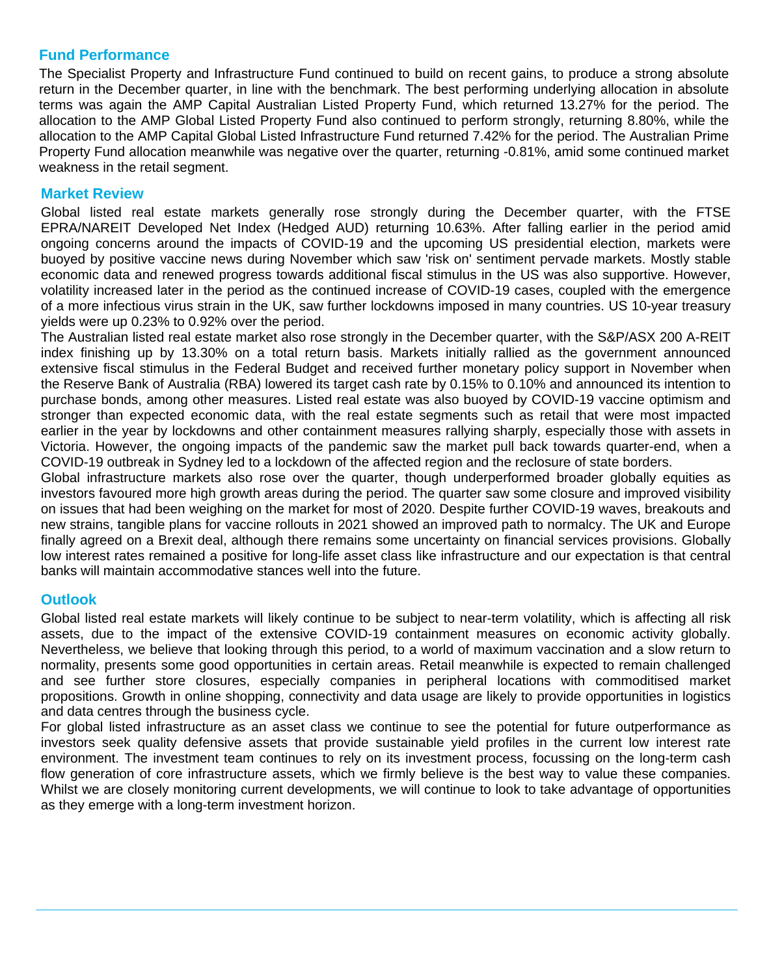### **Fund Performance**

The Specialist Property and Infrastructure Fund continued to build on recent gains, to produce a strong absolute return in the December quarter, in line with the benchmark. The best performing underlying allocation in absolute terms was again the AMP Capital Australian Listed Property Fund, which returned 13.27% for the period. The allocation to the AMP Global Listed Property Fund also continued to perform strongly, returning 8.80%, while the allocation to the AMP Capital Global Listed Infrastructure Fund returned 7.42% for the period. The Australian Prime Property Fund allocation meanwhile was negative over the quarter, returning -0.81%, amid some continued market weakness in the retail segment.

#### **Market Review**

Global listed real estate markets generally rose strongly during the December quarter, with the FTSE EPRA/NAREIT Developed Net Index (Hedged AUD) returning 10.63%. After falling earlier in the period amid ongoing concerns around the impacts of COVID-19 and the upcoming US presidential election, markets were buoyed by positive vaccine news during November which saw 'risk on' sentiment pervade markets. Mostly stable economic data and renewed progress towards additional fiscal stimulus in the US was also supportive. However, volatility increased later in the period as the continued increase of COVID-19 cases, coupled with the emergence of a more infectious virus strain in the UK, saw further lockdowns imposed in many countries. US 10-year treasury yields were up 0.23% to 0.92% over the period.

The Australian listed real estate market also rose strongly in the December quarter, with the S&P/ASX 200 A-REIT index finishing up by 13.30% on a total return basis. Markets initially rallied as the government announced extensive fiscal stimulus in the Federal Budget and received further monetary policy support in November when the Reserve Bank of Australia (RBA) lowered its target cash rate by 0.15% to 0.10% and announced its intention to purchase bonds, among other measures. Listed real estate was also buoyed by COVID-19 vaccine optimism and stronger than expected economic data, with the real estate segments such as retail that were most impacted earlier in the year by lockdowns and other containment measures rallying sharply, especially those with assets in Victoria. However, the ongoing impacts of the pandemic saw the market pull back towards quarter-end, when a COVID-19 outbreak in Sydney led to a lockdown of the affected region and the reclosure of state borders.

Global infrastructure markets also rose over the quarter, though underperformed broader globally equities as investors favoured more high growth areas during the period. The quarter saw some closure and improved visibility on issues that had been weighing on the market for most of 2020. Despite further COVID-19 waves, breakouts and new strains, tangible plans for vaccine rollouts in 2021 showed an improved path to normalcy. The UK and Europe finally agreed on a Brexit deal, although there remains some uncertainty on financial services provisions. Globally low interest rates remained a positive for long-life asset class like infrastructure and our expectation is that central banks will maintain accommodative stances well into the future.

#### **Outlook**

Global listed real estate markets will likely continue to be subject to near-term volatility, which is affecting all risk assets, due to the impact of the extensive COVID-19 containment measures on economic activity globally. Nevertheless, we believe that looking through this period, to a world of maximum vaccination and a slow return to normality, presents some good opportunities in certain areas. Retail meanwhile is expected to remain challenged and see further store closures, especially companies in peripheral locations with commoditised market propositions. Growth in online shopping, connectivity and data usage are likely to provide opportunities in logistics and data centres through the business cycle.

For global listed infrastructure as an asset class we continue to see the potential for future outperformance as investors seek quality defensive assets that provide sustainable yield profiles in the current low interest rate environment. The investment team continues to rely on its investment process, focussing on the long-term cash flow generation of core infrastructure assets, which we firmly believe is the best way to value these companies. Whilst we are closely monitoring current developments, we will continue to look to take advantage of opportunities as they emerge with a long-term investment horizon.